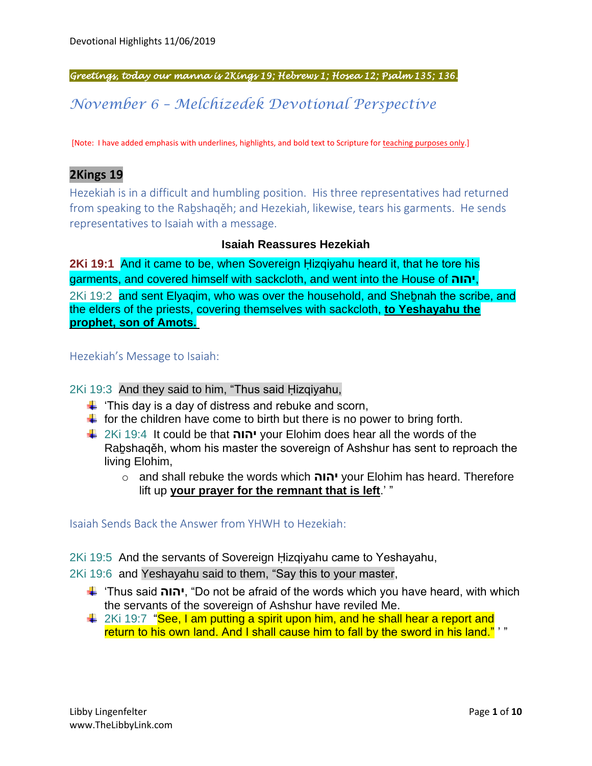*Greetings, today our manna is 2Kings 19; Hebrews 1; Hosea 12; Psalm 135; 136.* 

*November 6 – Melchizedek Devotional Perspective*

[Note: I have added emphasis with underlines, highlights, and bold text to Scripture for teaching purposes only.]

## **2Kings 19**

Hezekiah is in a difficult and humbling position. His three representatives had returned from speaking to the Raḇshaqěh; and Hezekiah, likewise, tears his garments. He sends representatives to Isaiah with a message.

## **Isaiah Reassures Hezekiah**

**2Ki 19:1** And it came to be, when Sovereign Ḥizqiyahu heard it, that he tore his garments, and covered himself with sackcloth, and went into the House of **יהוה**, 2Ki 19:2 and sent Elyaqim, who was over the household, and Shebnah the scribe, and the elders of the priests, covering themselves with sackcloth, **to Yeshayahu the prophet, son of Amots.**

#### Hezekiah's Message to Isaiah:

2Ki 19:3 And they said to him, "Thus said Ḥizqiyahu,

- $\ddot{\phantom{1}}$  'This day is a day of distress and rebuke and scorn,
- $\ddot{\phantom{1}}$  for the children have come to birth but there is no power to bring forth.
- 2Ki 19:4 It could be that **יהוה** your Elohim does hear all the words of the Raḇshaqěh, whom his master the sovereign of Ashshur has sent to reproach the living Elohim,
	- o and shall rebuke the words which **יהוה** your Elohim has heard. Therefore lift up **your prayer for the remnant that is left**.' "

Isaiah Sends Back the Answer from YHWH to Hezekiah:

2Ki 19:5 And the servants of Sovereign Ḥizqiyahu came to Yeshayahu,

2Ki 19:6 and Yeshayahu said to them, "Say this to your master,

- 'Thus said **יהוה**," Do not be afraid of the words which you have heard, with which the servants of the sovereign of Ashshur have reviled Me.
- 4 2Ki 19:7 "See, I am putting a spirit upon him, and he shall hear a report and return to his own land. And I shall cause him to fall by the sword in his land." '"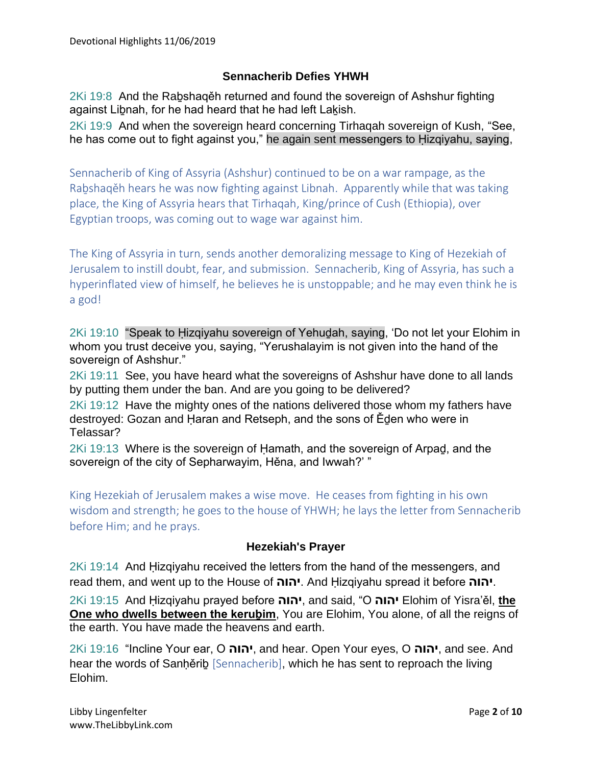## **Sennacherib Defies YHWH**

2Ki 19:8 And the Raḇshaqěh returned and found the sovereign of Ashshur fighting against Libnah, for he had heard that he had left Lakish.

2Ki 19:9 And when the sovereign heard concerning Tirhaqah sovereign of Kush, "See, he has come out to fight against you," he again sent messengers to Ḥizqiyahu, saying,

Sennacherib of King of Assyria (Ashshur) continued to be on a war rampage, as the Raḇshaqěh hears he was now fighting against Libnah. Apparently while that was taking place, the King of Assyria hears that Tirhaqah, King/prince of Cush (Ethiopia), over Egyptian troops, was coming out to wage war against him.

The King of Assyria in turn, sends another demoralizing message to King of Hezekiah of Jerusalem to instill doubt, fear, and submission. Sennacherib, King of Assyria, has such a hyperinflated view of himself, he believes he is unstoppable; and he may even think he is a god!

2Ki 19:10 "Speak to Ḥizqiyahu sovereign of Yehuḏah, saying, 'Do not let your Elohim in whom you trust deceive you, saying, "Yerushalayim is not given into the hand of the sovereign of Ashshur."

2Ki 19:11 See, you have heard what the sovereigns of Ashshur have done to all lands by putting them under the ban. And are you going to be delivered?

2Ki 19:12 Have the mighty ones of the nations delivered those whom my fathers have destroyed: Gozan and Ḥaran and Retseph, and the sons of Ěḏen who were in Telassar?

2Ki 19:13 Where is the sovereign of Ḥamath, and the sovereign of Arpaḏ, and the sovereign of the city of Sepharwayim, Hěna, and Iwwah?' "

King Hezekiah of Jerusalem makes a wise move. He ceases from fighting in his own wisdom and strength; he goes to the house of YHWH; he lays the letter from Sennacherib before Him; and he prays.

## **Hezekiah's Prayer**

2Ki 19:14 And Hizqiyahu received the letters from the hand of the messengers, and read them, and went up to the House of **יהוה**. And Ḥizqiyahu spread it before **יהוה**.

2Ki 19:15 And Ḥizqiyahu prayed before **יהוה**, and said, "O **יהוה** Elohim of Yisra'ěl, **the One who dwells between the kerubim, You are Elohim, You alone, of all the reigns of** the earth. You have made the heavens and earth.

2Ki 19:16 "Incline Your ear, O **יהוה**, and hear. Open Your eyes, O **יהוה**, and see. And hear the words of Sanherib [Sennacherib], which he has sent to reproach the living Elohim.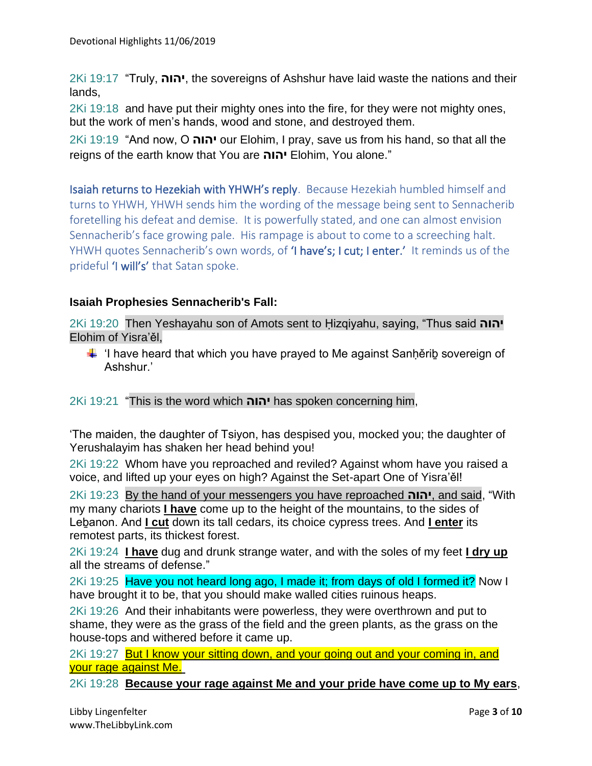2Ki 19:17 "Truly, **יהוה**, the sovereigns of Ashshur have laid waste the nations and their lands,

2Ki 19:18 and have put their mighty ones into the fire, for they were not mighty ones, but the work of men's hands, wood and stone, and destroyed them.

2Ki 19:19 "And now, O **יהוה** our Elohim, I pray, save us from his hand, so that all the reigns of the earth know that You are **יהוה** Elohim, You alone."

Isaiah returns to Hezekiah with YHWH's reply. Because Hezekiah humbled himself and turns to YHWH, YHWH sends him the wording of the message being sent to Sennacherib foretelling his defeat and demise. It is powerfully stated, and one can almost envision Sennacherib's face growing pale. His rampage is about to come to a screeching halt. YHWH quotes Sennacherib's own words, of 'I have's; I cut; I enter.' It reminds us of the prideful 'I will's' that Satan spoke.

## **Isaiah Prophesies Sennacherib's Fall:**

2Ki 19:20 Then Yeshayahu son of Amots sent to Ḥizqiyahu, saying, "Thus said **יהוה** Elohim of Yisra'ěl,

 $\ddot{\phantom{1}}$  'I have heard that which you have prayed to Me against Sanhěrib sovereign of Ashshur.'

2Ki 19:21 "This is the word which **יהוה** has spoken concerning him,

'The maiden, the daughter of Tsiyon, has despised you, mocked you; the daughter of Yerushalayim has shaken her head behind you!

2Ki 19:22 Whom have you reproached and reviled? Against whom have you raised a voice, and lifted up your eyes on high? Against the Set-apart One of Yisra'ěl!

2Ki 19:23 By the hand of your messengers you have reproached **יהוה**, and said, "With my many chariots **I have** come up to the height of the mountains, to the sides of Leḇanon. And **I cut** down its tall cedars, its choice cypress trees. And **I enter** its remotest parts, its thickest forest.

2Ki 19:24 **I have** dug and drunk strange water, and with the soles of my feet **I dry up** all the streams of defense."

2Ki 19:25 Have you not heard long ago, I made it; from days of old I formed it? Now I have brought it to be, that you should make walled cities ruinous heaps.

2Ki 19:26 And their inhabitants were powerless, they were overthrown and put to shame, they were as the grass of the field and the green plants, as the grass on the house-tops and withered before it came up.

2Ki 19:27 But I know your sitting down, and your going out and your coming in, and your rage against Me.

2Ki 19:28 **Because your rage against Me and your pride have come up to My ears**,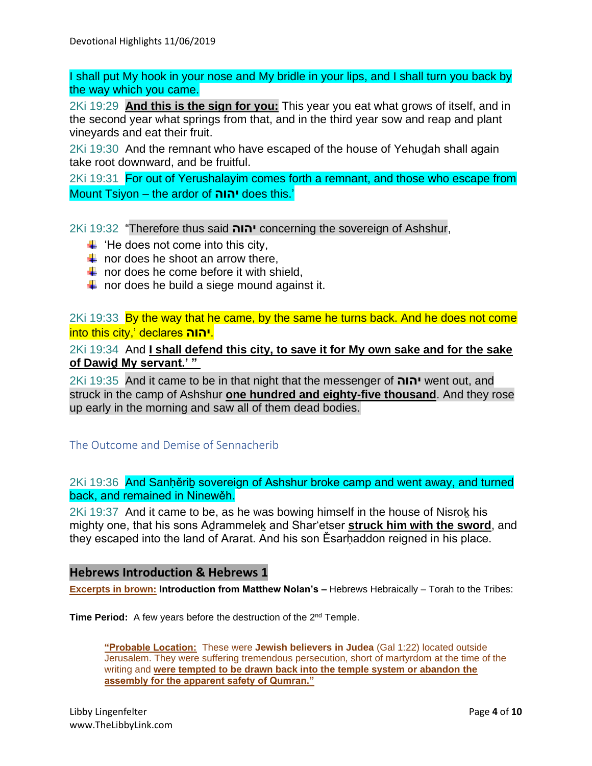I shall put My hook in your nose and My bridle in your lips, and I shall turn you back by the way which you came.

2Ki 19:29 **And this is the sign for you:** This year you eat what grows of itself, and in the second year what springs from that, and in the third year sow and reap and plant vineyards and eat their fruit.

2Ki 19:30 And the remnant who have escaped of the house of Yehuḏah shall again take root downward, and be fruitful.

2Ki 19:31 For out of Yerushalayim comes forth a remnant, and those who escape from Mount Tsiyon – the ardor of **יהוה** does this.'

2Ki 19:32 "Therefore thus said **יהוה** concerning the sovereign of Ashshur,

- $\leftarrow$  'He does not come into this city,
- $\frac{1}{\sqrt{1}}$  nor does he shoot an arrow there,
- $\downarrow$  nor does he come before it with shield.
- $\downarrow$  nor does he build a siege mound against it.

2Ki 19:33 By the way that he came, by the same he turns back. And he does not come into this city,' declares **יהוה**.

2Ki 19:34 And **I shall defend this city, to save it for My own sake and for the sake of Dawiḏ My servant.' "**

2Ki 19:35 And it came to be in that night that the messenger of **יהוה** went out, and struck in the camp of Ashshur **one hundred and eighty-five thousand**. And they rose up early in the morning and saw all of them dead bodies.

#### The Outcome and Demise of Sennacherib

2Ki 19:36 And Sanḥěriḇ sovereign of Ashshur broke camp and went away, and turned back, and remained in Ninewěh.

2Ki 19:37 And it came to be, as he was bowing himself in the house of Nisrok his mighty one, that his sons Aḏrammeleḵ and Shar'etser **struck him with the sword**, and they escaped into the land of Ararat. And his son Esarhaddon reigned in his place.

#### **Hebrews Introduction & Hebrews 1**

**Excerpts in brown: Introduction from Matthew Nolan's - Hebrews Hebraically - Torah to the Tribes:** 

**Time Period:** A few years before the destruction of the 2<sup>nd</sup> Temple.

**"Probable Location:** These were **Jewish believers in Judea** (Gal 1:22) located outside Jerusalem. They were suffering tremendous persecution, short of martyrdom at the time of the writing and **were tempted to be drawn back into the temple system or abandon the assembly for the apparent safety of Qumran."**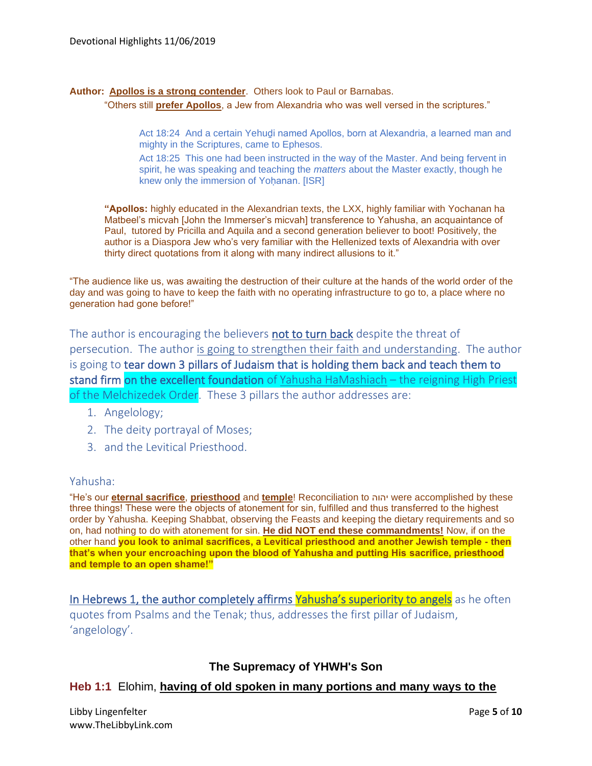#### **Author: Apollos is a strong contender**. Others look to Paul or Barnabas.

"Others still **prefer Apollos**, a Jew from Alexandria who was well versed in the scriptures."

Act 18:24 And a certain Yehudi named Apollos, born at Alexandria, a learned man and mighty in the Scriptures, came to Ephesos.

Act 18:25 This one had been instructed in the way of the Master. And being fervent in spirit, he was speaking and teaching the *matters* about the Master exactly, though he knew only the immersion of Yoḥanan. [ISR]

**"Apollos:** highly educated in the Alexandrian texts, the LXX, highly familiar with Yochanan ha Matbeel's micvah [John the Immerser's micvah] transference to Yahusha, an acquaintance of Paul, tutored by Pricilla and Aquila and a second generation believer to boot! Positively, the author is a Diaspora Jew who's very familiar with the Hellenized texts of Alexandria with over thirty direct quotations from it along with many indirect allusions to it."

"The audience like us, was awaiting the destruction of their culture at the hands of the world order of the day and was going to have to keep the faith with no operating infrastructure to go to, a place where no generation had gone before!"

The author is encouraging the believers not to turn back despite the threat of persecution. The author is going to strengthen their faith and understanding. The author is going to tear down 3 pillars of Judaism that is holding them back and teach them to stand firm on the excellent foundation of Yahusha HaMashiach – the reigning High Priest of the Melchizedek Order. These 3 pillars the author addresses are:

- 1. Angelology;
- 2. The deity portrayal of Moses;
- 3. and the Levitical Priesthood.

#### Yahusha:

"He's our **eternal sacrifice**, **priesthood** and **temple**! Reconciliation to יהוה were accomplished by these three things! These were the objects of atonement for sin, fulfilled and thus transferred to the highest order by Yahusha. Keeping Shabbat, observing the Feasts and keeping the dietary requirements and so on, had nothing to do with atonement for sin. **He did NOT end these commandments!** Now, if on the other hand **you look to animal sacrifices, a Levitical priesthood and another Jewish temple - then that's when your encroaching upon the blood of Yahusha and putting His sacrifice, priesthood and temple to an open shame!"**

In Hebrews 1, the author completely affirms Yahusha's superiority to angels as he often quotes from Psalms and the Tenak; thus, addresses the first pillar of Judaism, 'angelology'.

## **The Supremacy of YHWH's Son**

#### **Heb 1:1** Elohim, **having of old spoken in many portions and many ways to the**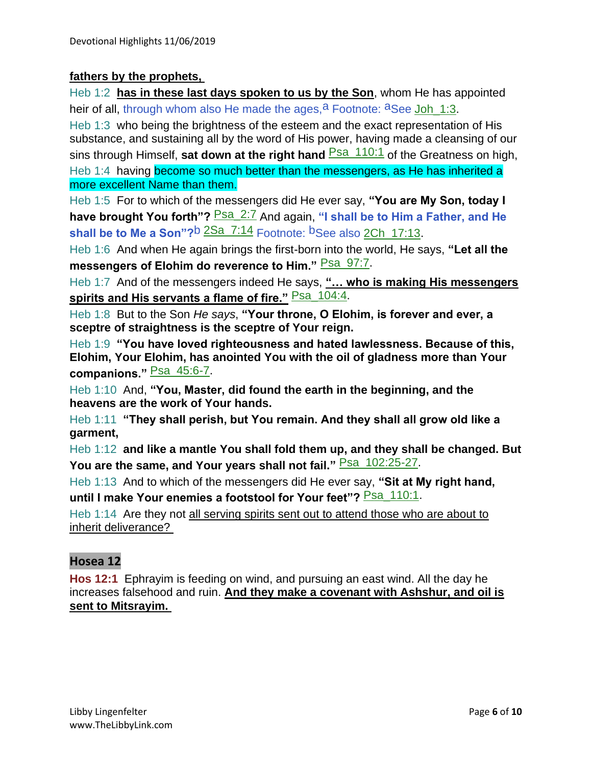## **fathers by the prophets,**

Heb 1:2 **has in these last days spoken to us by the Son**, whom He has appointed heir of all, through whom also He made the ages,  $a^2$  Footnote:  $a^2$ See Joh 1:3. Heb 1:3 who being the brightness of the esteem and the exact representation of His

substance, and sustaining all by the word of His power, having made a cleansing of our sins through Himself, **sat down at the right hand Psa** 110:1 of the Greatness on high, Heb 1:4 having become so much better than the messengers, as He has inherited a more excellent Name than them.

Heb 1:5 For to which of the messengers did He ever say, **"You are My Son, today I have brought You forth**"? **Psa\_2:7** And again, "I shall be to Him a Father, and He **shall be to Me a Son**"?<sup>b</sup> 2Sa\_7:14 Footnote: <sup>b</sup>See also 2Ch\_17:13.

Heb 1:6 And when He again brings the first-born into the world, He says, **"Let all the**  messengers of Elohim do reverence to Him." **Psa\_97:7**.

Heb 1:7 And of the messengers indeed He says, **"… who is making His messengers**  spirits and His servants a flame of fire." **Psa\_104:4**.

Heb 1:8 But to the Son *He says*, **"Your throne, O Elohim, is forever and ever, a sceptre of straightness is the sceptre of Your reign.**

Heb 1:9 **"You have loved righteousness and hated lawlessness. Because of this, Elohim, Your Elohim, has anointed You with the oil of gladness more than Your companions."** Psa\_45:6-7.

Heb 1:10 And, **"You, Master, did found the earth in the beginning, and the heavens are the work of Your hands.**

Heb 1:11 **"They shall perish, but You remain. And they shall all grow old like a garment,**

Heb 1:12 **and like a mantle You shall fold them up, and they shall be changed. But** You are the same, and Your years shall not fail." **Psa\_102:25-27**.

Heb 1:13 And to which of the messengers did He ever say, **"Sit at My right hand,**  until I make Your enemies a footstool for Your feet"? **Psa\_110:1**.

Heb 1:14 Are they not all serving spirits sent out to attend those who are about to inherit deliverance?

# **Hosea 12**

**Hos 12:1** Ephrayim is feeding on wind, and pursuing an east wind. All the day he increases falsehood and ruin. **And they make a covenant with Ashshur, and oil is sent to Mitsrayim.**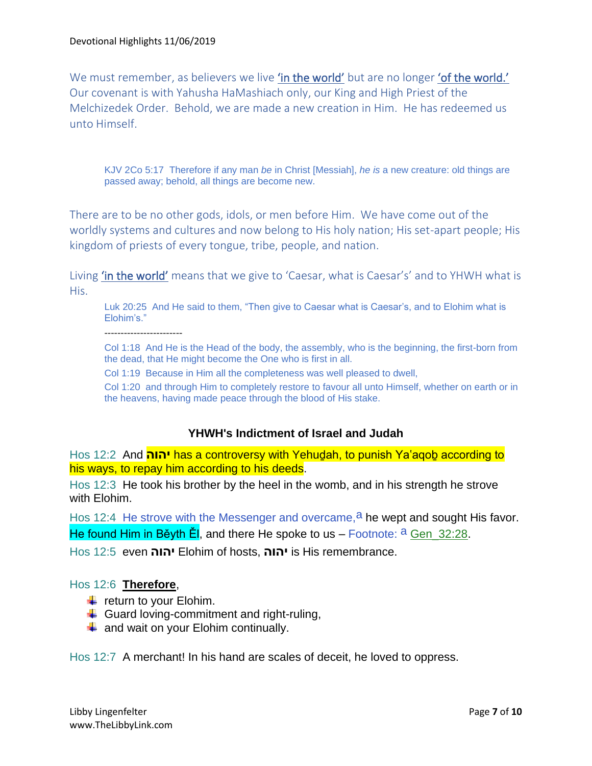We must remember, as believers we live 'in the world' but are no longer 'of the world.' Our covenant is with Yahusha HaMashiach only, our King and High Priest of the Melchizedek Order. Behold, we are made a new creation in Him. He has redeemed us unto Himself.

KJV 2Co 5:17 Therefore if any man *be* in Christ [Messiah], *he is* a new creature: old things are passed away; behold, all things are become new.

There are to be no other gods, idols, or men before Him. We have come out of the worldly systems and cultures and now belong to His holy nation; His set-apart people; His kingdom of priests of every tongue, tribe, people, and nation.

Living **'in the world'** means that we give to 'Caesar, what is Caesar's' and to YHWH what is His.

Luk 20:25 And He said to them, "Then give to Caesar what is Caesar's, and to Elohim what is Elohim's."

------------------------

Col 1:18 And He is the Head of the body, the assembly, who is the beginning, the first-born from the dead, that He might become the One who is first in all.

Col 1:19 Because in Him all the completeness was well pleased to dwell,

Col 1:20 and through Him to completely restore to favour all unto Himself, whether on earth or in the heavens, having made peace through the blood of His stake.

## **YHWH's Indictment of Israel and Judah**

Hos 12:2 And **יהוה** has a controversy with Yehuḏah, to punish Ya'aqoḇ according to his ways, to repay him according to his deeds.

Hos 12:3 He took his brother by the heel in the womb, and in his strength he strove with Elohim.

Hos 12:4 He strove with the Messenger and overcame,  $a$  he wept and sought His favor. He found Him in Běyth  $\tilde{E}$ , and there He spoke to us – Footnote:  $a$  Gen 32:28.

Hos 12:5 even **יהוה** Elohim of hosts, **יהוה** is His remembrance.

## Hos 12:6 **Therefore**,

- $\ddot{\bullet}$  return to your Elohim.
- $\leftarrow$  Guard loving-commitment and right-ruling,
- $\ddot{\bullet}$  and wait on your Elohim continually.

Hos 12:7 A merchant! In his hand are scales of deceit, he loved to oppress.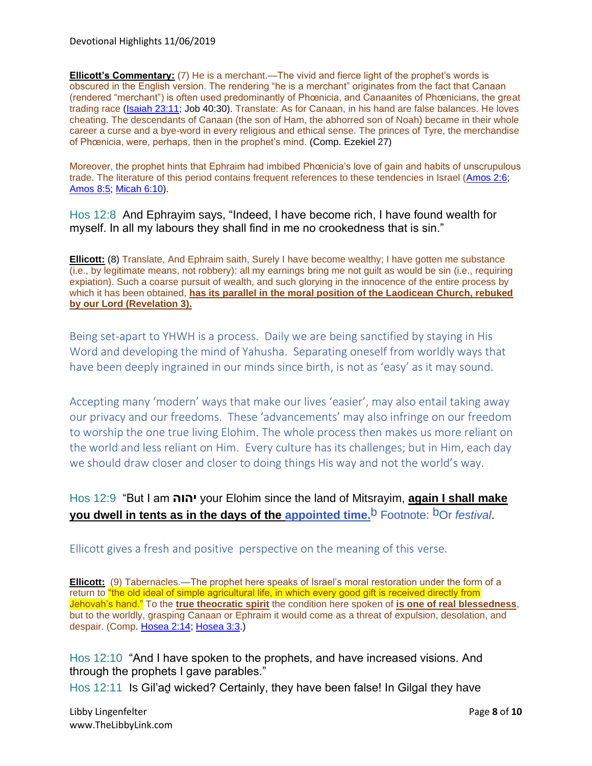Devotional Highlights 11/06/2019

**Ellicott's Commentary:** (7) He is a merchant.—The vivid and fierce light of the prophet's words is obscured in the English version. The rendering "he is a merchant" originates from the fact that Canaan (rendered "merchant") is often used predominantly of Phœnicia, and Canaanites of Phœnicians, the great trading race [\(Isaiah 23:11;](https://biblehub.com/isaiah/23-11.htm) Job 40:30). Translate: As for Canaan, in his hand are false balances. He loves cheating. The descendants of Canaan (the son of Ham, the abhorred son of Noah) became in their whole career a curse and a bye-word in every religious and ethical sense. The princes of Tyre, the merchandise of Phœnicia, were, perhaps, then in the prophet's mind. (Comp. Ezekiel 27)

Moreover, the prophet hints that Ephraim had imbibed Phœnicia's love of gain and habits of unscrupulous trade. The literature of this period contains frequent references to these tendencies in Israel [\(Amos 2:6;](https://biblehub.com/amos/2-6.htm) [Amos 8:5;](https://biblehub.com/amos/8-5.htm) [Micah 6:10\)](https://biblehub.com/micah/6-10.htm).

Hos 12:8 And Ephrayim says, "Indeed, I have become rich, I have found wealth for myself. In all my labours they shall find in me no crookedness that is sin."

**Ellicott:** (8) Translate, And Ephraim saith, Surely I have become wealthy; I have gotten me substance (i.e., by legitimate means, not robbery): all my earnings bring me not guilt as would be sin (i.e., requiring expiation). Such a coarse pursuit of wealth, and such glorying in the innocence of the entire process by which it has been obtained, **has its parallel in the moral position of the Laodicean Church, rebuked by our Lord (Revelation 3).**

Being set-apart to YHWH is a process. Daily we are being sanctified by staying in His Word and developing the mind of Yahusha. Separating oneself from worldly ways that have been deeply ingrained in our minds since birth, is not as 'easy' as it may sound.

Accepting many 'modern' ways that make our lives 'easier', may also entail taking away our privacy and our freedoms. These 'advancements' may also infringe on our freedom to worship the one true living Elohim. The whole process then makes us more reliant on the world and less reliant on Him. Every culture has its challenges; but in Him, each day we should draw closer and closer to doing things His way and not the world's way.

# Hos 12:9 "But I am **יהוה** your Elohim since the land of Mitsrayim, **again I shall make you dwell in tents as in the days of the appointed time.**b Footnote: bOr *festival*.

Ellicott gives a fresh and positive perspective on the meaning of this verse.

**Ellicott:** (9) Tabernacles.—The prophet here speaks of Israel's moral restoration under the form of a return to "the old ideal of simple agricultural life, in which every good gift is received directly from Jehovah's hand." To the **true theocratic spirit** the condition here spoken of **is one of real blessedness**, but to the worldly, grasping Canaan or Ephraim it would come as a threat of expulsion, desolation, and despair. (Comp. [Hosea 2:14;](https://biblehub.com/hosea/2-14.htm) [Hosea 3:3.](https://biblehub.com/hosea/3-3.htm))

Hos 12:10 "And I have spoken to the prophets, and have increased visions. And through the prophets I gave parables."

Hos 12:11 Is Gil'ad wicked? Certainly, they have been false! In Gilgal they have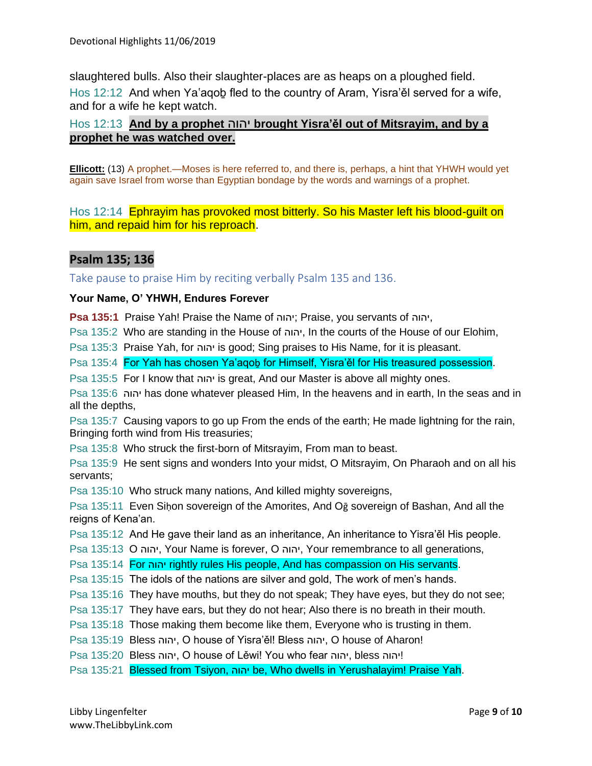slaughtered bulls. Also their slaughter-places are as heaps on a ploughed field. Hos 12:12 And when Ya'aqob fled to the country of Aram, Yisra'ěl served for a wife, and for a wife he kept watch.

## Hos 12:13 **And by a prophet** יהוה **brought Yisra'ěl out of Mitsrayim, and by a prophet he was watched over.**

**Ellicott:** (13) A prophet.—Moses is here referred to, and there is, perhaps, a hint that YHWH would yet again save Israel from worse than Egyptian bondage by the words and warnings of a prophet.

Hos 12:14 Ephrayim has provoked most bitterly. So his Master left his blood-guilt on him, and repaid him for his reproach.

# **Psalm 135; 136**

Take pause to praise Him by reciting verbally Psalm 135 and 136.

#### **Your Name, O' YHWH, Endures Forever**

**Psa 135:1** Praise Yah! Praise the Name of יהוה ;Praise, you servants of יהוה,

Psa 135:2 Who are standing in the House of יהוה, In the courts of the House of our Elohim,

Psa 135:3 Praise Yah, for יהוה is good; Sing praises to His Name, for it is pleasant.

Psa 135:4 For Yah has chosen Ya'aqob for Himself, Yisra'ěl for His treasured possession.

Psa 135:5 For I know that יהוה is great, And our Master is above all mighty ones.

Psa 135:6 יהוה has done whatever pleased Him, In the heavens and in earth, In the seas and in all the depths,

Psa 135:7 Causing vapors to go up From the ends of the earth; He made lightning for the rain, Bringing forth wind from His treasuries;

Psa 135:8 Who struck the first-born of Mitsrayim, From man to beast.

Psa 135:9 He sent signs and wonders Into your midst, O Mitsrayim, On Pharaoh and on all his servants;

Psa 135:10 Who struck many nations, And killed mighty sovereigns,

Psa 135:11 Even Siḥon sovereign of the Amorites, And Oḡ sovereign of Bashan, And all the reigns of Kena'an.

Psa 135:12 And He gave their land as an inheritance, An inheritance to Yisra'ěl His people.

Psa 135:13 O יהוה, Your Name is forever, O יהוה, Your remembrance to all generations,

Psa 135:14 For יהוה rightly rules His people, And has compassion on His servants.

Psa 135:15 The idols of the nations are silver and gold, The work of men's hands.

Psa 135:16 They have mouths, but they do not speak; They have eyes, but they do not see;

Psa 135:17 They have ears, but they do not hear; Also there is no breath in their mouth.

Psa 135:18 Those making them become like them, Everyone who is trusting in them.

Psa 135:19 Bless יהוה, O house of Yisra'ěl! Bless יהוה, O house of Aharon!

Psa 135:20 Bless יהוה, O house of Lěwi! You who fear יהוה, bless יהוה

Psa 135:21 Blessed from Tsiyon, יהוה be, Who dwells in Yerushalayim! Praise Yah.